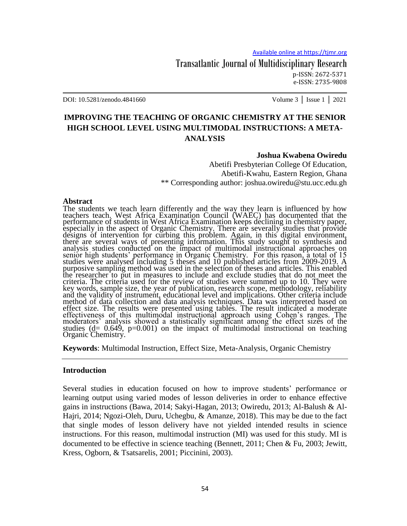Transatlantic Journal of Multidisciplinary Research p-ISSN: 2672-5371 e-ISSN: 2735-9808

DOI: 10.5281/zenodo.4841660 Volume 3 │ Issue 1 │ 2021

# **IMPROVING THE TEACHING OF ORGANIC CHEMISTRY AT THE SENIOR HIGH SCHOOL LEVEL USING MULTIMODAL INSTRUCTIONS: A META-ANALYSIS**

#### **Joshua Kwabena Owiredu**

Abetifi Presbyterian College Of Education, Abetifi-Kwahu, Eastern Region, Ghana \*\* Corresponding author: joshua.owiredu@stu.ucc.edu.gh

#### **Abstract**

The students we teach learn differently and the way they learn is influenced by how teachers teach. West Africa Examination Council (WAEC) has documented that the performance of students in West Africa Examination keeps declining in chemistry paper, especially in the aspect of Organic Chemistry. There are severally studies that provide designs of intervention for curbing this problem. Again, in this digital environment, there are several ways of presenting information. This study sought to synthesis and analysis studies conducted on the impact of multimodal instructional approaches on senior high students' performance in Organic Chemistry. For this reason, a total of 15 studies were analysed including 5 theses and 10 published articles from 2009-2019. A purposive sampling method was used in the selection of theses and articles. This enabled the researcher to put in measures to include and exclude studies that do not meet the criteria. The criteria used for the review of studies were summed up to 10. They were key words, sample size, the year of publication, research scope, methodology, reliability and the validity of instrument, educational level and implications. Other criteria include method of data collection and data analysis techniques. Data was interpreted based on effect size. The results were presented using tables. The result indicated a moderate effectiveness of this multimodal instructional approach using Cohen's ranges. The moderators' analysis showed a statistically significant among the effect sizes of the studies  $(d= 0.649, p=0.001)$  on the impact of multimodal instructional on teaching Organic Chemistry.

**Keywords**: Multimodal Instruction, Effect Size, Meta-Analysis, Organic Chemistry

#### **Introduction**

Several studies in education focused on how to improve students' performance or learning output using varied modes of lesson deliveries in order to enhance effective gains in instructions (Bawa, 2014; Sakyi-Hagan, 2013; Owiredu, 2013; Al-Balush & Al-Hajri, 2014; Ngozi-Oleh, Duru, Uchegbu, & Amanze, 2018). This may be due to the fact that single modes of lesson delivery have not yielded intended results in science instructions. For this reason, multimodal instruction (MI) was used for this study. MI is documented to be effective in science teaching (Bennett, 2011; Chen & Fu, 2003; Jewitt, Kress, Ogborn, & Tsatsarelis, 2001; Piccinini, 2003).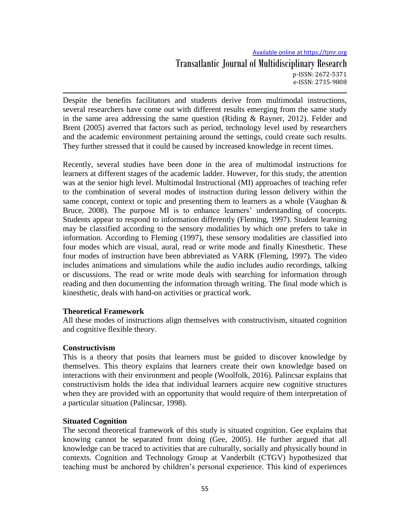# Available online at https://tjmr.org Transatlantic Journal of Multidisciplinary Research p-ISSN: 2672-5371 e-ISSN: 2735-9808

Despite the benefits facilitators and students derive from multimodal instructions, several researchers have come out with different results emerging from the same study in the same area addressing the same question (Riding  $\&$  Rayner, 2012). Felder and Brent (2005) averred that factors such as period, technology level used by researchers and the academic environment pertaining around the settings, could create such results. They further stressed that it could be caused by increased knowledge in recent times.

Recently, several studies have been done in the area of multimodal instructions for learners at different stages of the academic ladder. However, for this study, the attention was at the senior high level. Multimodal Instructional (MI) approaches of teaching refer to the combination of several modes of instruction during lesson delivery within the same concept, context or topic and presenting them to learners as a whole (Vaughan & Bruce, 2008). The purpose MI is to enhance learners' understanding of concepts. Students appear to respond to information differently (Fleming, 1997). Student learning may be classified according to the sensory modalities by which one prefers to take in information. According to Fleming (1997), these sensory modalities are classified into four modes which are visual, aural, read or write mode and finally Kinesthetic. These four modes of instruction have been abbreviated as VARK (Fleming, 1997). The video includes animations and simulations while the audio includes audio recordings, talking or discussions. The read or write mode deals with searching for information through reading and then documenting the information through writing. The final mode which is kinesthetic, deals with hand-on activities or practical work.

### **Theoretical Framework**

All these modes of instructions align themselves with constructivism, situated cognition and cognitive flexible theory.

## **Constructivism**

This is a theory that posits that learners must be guided to discover knowledge by themselves. This theory explains that learners create their own knowledge based on interactions with their environment and people (Woolfolk, 2016). Palincsar explains that constructivism holds the idea that individual learners acquire new cognitive structures when they are provided with an opportunity that would require of them interpretation of a particular situation (Palincsar, 1998).

## **Situated Cognition**

The second theoretical framework of this study is situated cognition. Gee explains that knowing cannot be separated from doing (Gee, 2005). He further argued that all knowledge can be traced to activities that are culturally, socially and physically bound in contexts. Cognition and Technology Group at Vanderbilt (CTGV) hypothesized that teaching must be anchored by children's personal experience. This kind of experiences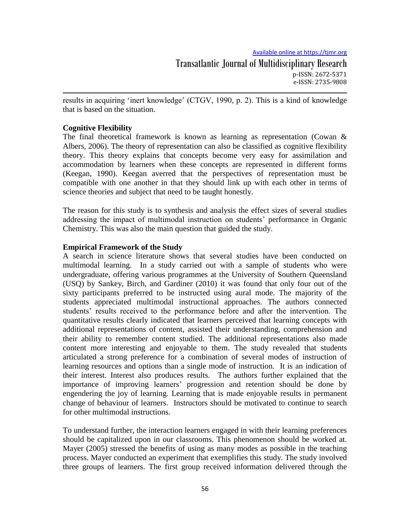results in acquiring 'inert knowledge' (CTGV, 1990, p. 2). This is a kind of knowledge that is based on the situation.

# **Cognitive Flexibility**

The final theoretical framework is known as learning as representation (Cowan  $\&$ Albers, 2006). The theory of representation can also be classified as cognitive flexibility theory. This theory explains that concepts become very easy for assimilation and accommodation by learners when these concepts are represented in different forms (Keegan, 1990). Keegan averred that the perspectives of representation must be compatible with one another in that they should link up with each other in terms of science theories and subject that need to be taught honestly.

The reason for this study is to synthesis and analysis the effect sizes of several studies addressing the impact of multimodal instruction on students' performance in Organic Chemistry. This was also the main question that guided the study.

## **Empirical Framework of the Study**

A search in science literature shows that several studies have been conducted on multimodal learning. In a study carried out with a sample of students who were undergraduate, offering various programmes at the University of Southern Queensland (USQ) by Sankey, Birch, and Gardiner (2010) it was found that only four out of the sixty participants preferred to be instructed using aural mode. The majority of the students appreciated multimodal instructional approaches. The authors connected students' results received to the performance before and after the intervention. The quantitative results clearly indicated that learners perceived that learning concepts with additional representations of content, assisted their understanding, comprehension and their ability to remember content studied. The additional representations also made content more interesting and enjoyable to them. The study revealed that students articulated a strong preference for a combination of several modes of instruction of learning resources and options than a single mode of instruction. It is an indication of their interest. Interest also produces results. The authors further explained that the importance of improving learners' progression and retention should be done by engendering the joy of learning. Learning that is made enjoyable results in permanent change of behaviour of learners. Instructors should be motivated to continue to search for other multimodal instructions.

To understand further, the interaction learners engaged in with their learning preferences should be capitalized upon in our classrooms. This phenomenon should be worked at. Mayer (2005) stressed the benefits of using as many modes as possible in the teaching process. Mayer conducted an experiment that exemplifies this study. The study involved three groups of learners. The first group received information delivered through the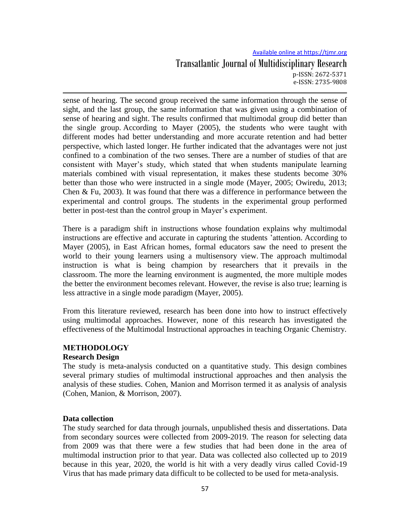# Available online at https://tjmr.org Transatlantic Journal of Multidisciplinary Research p-ISSN: 2672-5371 e-ISSN: 2735-9808

sense of hearing. The second group received the same information through the sense of sight, and the last group, the same information that was given using a combination of sense of hearing and sight. The results confirmed that multimodal group did better than the single group. According to Mayer (2005), the students who were taught with different modes had better understanding and more accurate retention and had better perspective, which lasted longer. He further indicated that the advantages were not just confined to a combination of the two senses. There are a number of studies of that are consistent with Mayer's study, which stated that when students manipulate learning materials combined with visual representation, it makes these students become 30% better than those who were instructed in a single mode (Mayer, 2005; Owiredu, 2013; Chen & Fu, 2003). It was found that there was a difference in performance between the experimental and control groups. The students in the experimental group performed better in post-test than the control group in Mayer's experiment.

There is a paradigm shift in instructions whose foundation explains why multimodal instructions are effective and accurate in capturing the students 'attention. According to Mayer (2005), in East African homes, formal educators saw the need to present the world to their young learners using a multisensory view. The approach multimodal instruction is what is being champion by researchers that it prevails in the classroom. The more the learning environment is augmented, the more multiple modes the better the environment becomes relevant. However, the revise is also true; learning is less attractive in a single mode paradigm (Mayer, 2005).

From this literature reviewed, research has been done into how to instruct effectively using multimodal approaches. However, none of this research has investigated the effectiveness of the Multimodal Instructional approaches in teaching Organic Chemistry.

# **METHODOLOGY**

## **Research Design**

The study is meta-analysis conducted on a quantitative study. This design combines several primary studies of multimodal instructional approaches and then analysis the analysis of these studies. Cohen, Manion and Morrison termed it as analysis of analysis (Cohen, Manion, & Morrison, 2007).

## **Data collection**

The study searched for data through journals, unpublished thesis and dissertations. Data from secondary sources were collected from 2009-2019. The reason for selecting data from 2009 was that there were a few studies that had been done in the area of multimodal instruction prior to that year. Data was collected also collected up to 2019 because in this year, 2020, the world is hit with a very deadly virus called Covid-19 Virus that has made primary data difficult to be collected to be used for meta-analysis.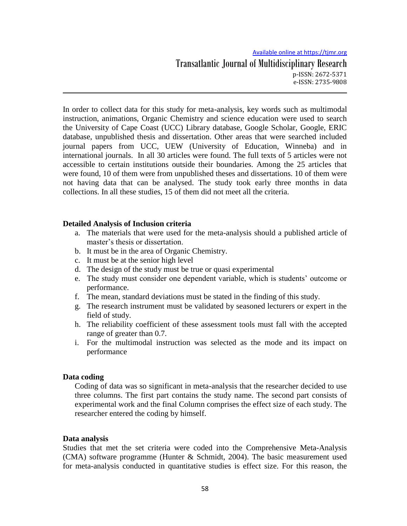In order to collect data for this study for meta-analysis, key words such as multimodal instruction, animations, Organic Chemistry and science education were used to search the University of Cape Coast (UCC) Library database, Google Scholar, Google, ERIC database, unpublished thesis and dissertation. Other areas that were searched included journal papers from UCC, UEW (University of Education, Winneba) and in international journals. In all 30 articles were found. The full texts of 5 articles were not accessible to certain institutions outside their boundaries. Among the 25 articles that were found, 10 of them were from unpublished theses and dissertations. 10 of them were not having data that can be analysed. The study took early three months in data collections. In all these studies, 15 of them did not meet all the criteria.

## **Detailed Analysis of Inclusion criteria**

- a. The materials that were used for the meta-analysis should a published article of master's thesis or dissertation.
- b. It must be in the area of Organic Chemistry.
- c. It must be at the senior high level
- d. The design of the study must be true or quasi experimental
- e. The study must consider one dependent variable, which is students' outcome or performance.
- f. The mean, standard deviations must be stated in the finding of this study.
- g. The research instrument must be validated by seasoned lecturers or expert in the field of study.
- h. The reliability coefficient of these assessment tools must fall with the accepted range of greater than 0.7.
- i. For the multimodal instruction was selected as the mode and its impact on performance

### **Data coding**

Coding of data was so significant in meta-analysis that the researcher decided to use three columns. The first part contains the study name. The second part consists of experimental work and the final Column comprises the effect size of each study. The researcher entered the coding by himself.

### **Data analysis**

Studies that met the set criteria were coded into the Comprehensive Meta-Analysis (CMA) software programme (Hunter & Schmidt, 2004). The basic measurement used for meta-analysis conducted in quantitative studies is effect size. For this reason, the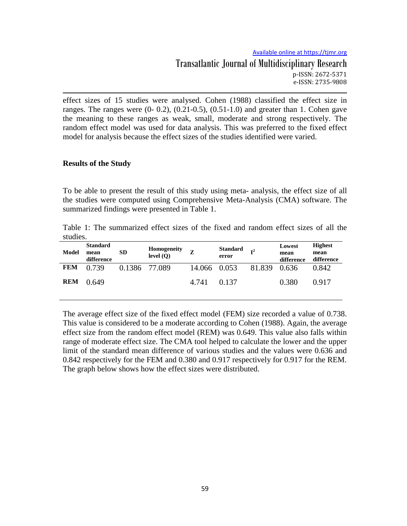effect sizes of 15 studies were analysed. Cohen (1988) classified the effect size in ranges. The ranges were  $(0-0.2)$ ,  $(0.21-0.5)$ ,  $(0.51-1.0)$  and greater than 1. Cohen gave the meaning to these ranges as weak, small, moderate and strong respectively. The random effect model was used for data analysis. This was preferred to the fixed effect model for analysis because the effect sizes of the studies identified were varied.

### **Results of the Study**

To be able to present the result of this study using meta- analysis, the effect size of all the studies were computed using Comprehensive Meta-Analysis (CMA) software. The summarized findings were presented in Table 1.

Table 1: The summarized effect sizes of the fixed and random effect sizes of all the studies.

| Model      | <b>Standard</b><br>mean<br>difference | SD.           | Homogeneity<br>level (Q) | 7            | Standard<br>error | $\mathbf{T}^2$ | Lowest<br>mean<br>difference | <b>Highest</b><br>mean<br>difference |
|------------|---------------------------------------|---------------|--------------------------|--------------|-------------------|----------------|------------------------------|--------------------------------------|
| <b>FEM</b> | 0.739                                 | 0.1386 77.089 |                          | 14.066 0.053 |                   | 81.839         | 0.636                        | 0.842                                |
| <b>REM</b> | 0.649                                 |               |                          | 4.741        | 0.137             |                | 0.380                        | 0.917                                |

The average effect size of the fixed effect model (FEM) size recorded a value of 0.738. This value is considered to be a moderate according to Cohen (1988). Again, the average effect size from the random effect model (REM) was 0.649. This value also falls within range of moderate effect size. The CMA tool helped to calculate the lower and the upper limit of the standard mean difference of various studies and the values were 0.636 and 0.842 respectively for the FEM and 0.380 and 0.917 respectively for 0.917 for the REM. The graph below shows how the effect sizes were distributed.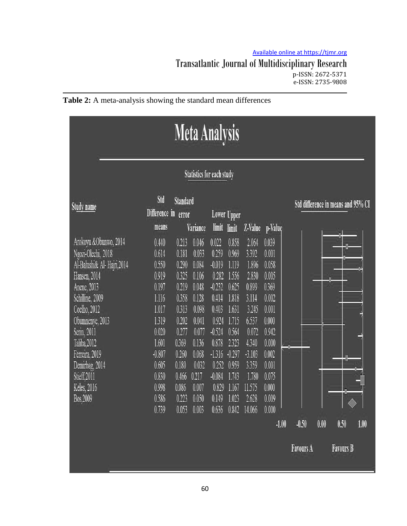# Available online at https://tjmr.org Transatlantic Journal of Multidisciplinary Research p-ISSN: 2672-5371 e-ISSN: 2735-9808



| <b>Meta Analysis</b>                                                                                                                                                                                                                                                        |                                                                                                                                                 |                                                                                                                                              |                                                                                                                                              |                                                                                                                                                             |                                                                                                                                                 |                                                                                                                                                   |                                                                                                                                                         |                             |      |                                    |      |
|-----------------------------------------------------------------------------------------------------------------------------------------------------------------------------------------------------------------------------------------------------------------------------|-------------------------------------------------------------------------------------------------------------------------------------------------|----------------------------------------------------------------------------------------------------------------------------------------------|----------------------------------------------------------------------------------------------------------------------------------------------|-------------------------------------------------------------------------------------------------------------------------------------------------------------|-------------------------------------------------------------------------------------------------------------------------------------------------|---------------------------------------------------------------------------------------------------------------------------------------------------|---------------------------------------------------------------------------------------------------------------------------------------------------------|-----------------------------|------|------------------------------------|------|
| <b>Statistics for each study</b>                                                                                                                                                                                                                                            |                                                                                                                                                 |                                                                                                                                              |                                                                                                                                              |                                                                                                                                                             |                                                                                                                                                 |                                                                                                                                                   |                                                                                                                                                         |                             |      |                                    |      |
| <b>Study name</b>                                                                                                                                                                                                                                                           | Std<br>Difference in<br>means                                                                                                                   | Standard<br>error                                                                                                                            | Variance                                                                                                                                     | limit                                                                                                                                                       | Lower Upper<br>limit                                                                                                                            | Z-Value                                                                                                                                           | p-Value                                                                                                                                                 |                             |      | Std difference in means and 95% CI |      |
| Arokoyu &Obunwo, 2014<br>Ngozi-Olechi, 2018<br>Al-Balushi& Al-Hajri,2014<br>Hansen, 2014<br>Anene, 2013<br>Schilline, 2009<br>Coelho, 2012<br>Obumnenye, 2013<br>Serin, 2011<br>Taliba, 2012<br>Ferreira, 2019<br>Demirbag, 2014<br>Stieff,2011<br>Keles, 2016<br>Bos, 2009 | 0.440<br>0.614<br>0.550<br>0.919<br>0.197<br>1.116<br>1.017<br>1.319<br>0.020<br>1.601<br>$-0.807$<br>0.605<br>0.830<br>0.998<br>0.586<br>0.739 | 0.213<br>0.181<br>0.290<br>0.325<br>0.219<br>0.358<br>0.313<br>0.202<br>0.277<br>0.369<br>0.260<br>0.180<br>0.466<br>0.086<br>0.223<br>0.053 | 0.046<br>0.033<br>0.084<br>0.106<br>0.048<br>0.128<br>0.098<br>0.041<br>0.077<br>0.136<br>0.068<br>0.032<br>0.217<br>0.007<br>0.050<br>0.003 | 0.022<br>0.259<br>$-0.019$<br>0.282<br>$-0.232$<br>0.414<br>0.403<br>0.924<br>$-0.524$<br>0.878<br>$-1.316$<br>0.252<br>$-0.084$<br>0.829<br>0.149<br>0.636 | 0.858<br>0.969<br>1.119<br>1.556<br>0.625<br>1.818<br>1.631<br>1.715<br>0.564<br>2.323<br>$-0.297$<br>0.959<br>1.743<br>1.167<br>1.023<br>0.842 | 2.064<br>3.392<br>1.896<br>2.830<br>0.899<br>3.114<br>3.245<br>6.537<br>0.072<br>4.340<br>$-3.103$<br>3.359<br>1.780<br>11.575<br>2.628<br>14.066 | 0.039<br>0.001<br>0.058<br>0.005<br>0.369<br>0.002<br>0.001<br>0.000<br>0.942<br>0.000<br>0.002<br>0.001<br>0.075<br>0.000<br>0.009<br>0.000<br>$-1.00$ | $-0.50$<br><b>Favours A</b> | 0.00 | 0.50<br><b>Favours B</b>           | 1.00 |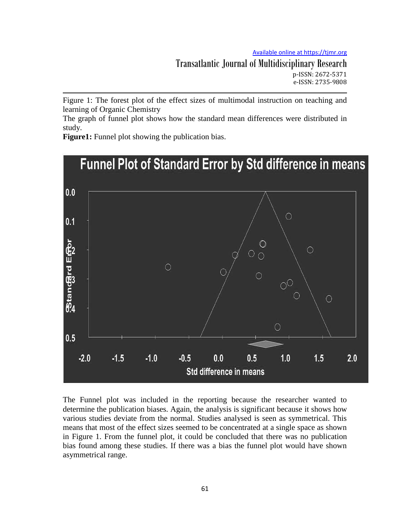Transatlantic Journal of Multidisciplinary Research p-ISSN: 2672-5371 e-ISSN: 2735-9808

Figure 1: The forest plot of the effect sizes of multimodal instruction on teaching and learning of Organic Chemistry

The graph of funnel plot shows how the standard mean differences were distributed in study.

**Figure1:** Funnel plot showing the publication bias.



The Funnel plot was included in the reporting because the researcher wanted to determine the publication biases. Again, the analysis is significant because it shows how various studies deviate from the normal. Studies analysed is seen as symmetrical. This means that most of the effect sizes seemed to be concentrated at a single space as shown in Figure 1. From the funnel plot, it could be concluded that there was no publication bias found among these studies. If there was a bias the funnel plot would have shown asymmetrical range.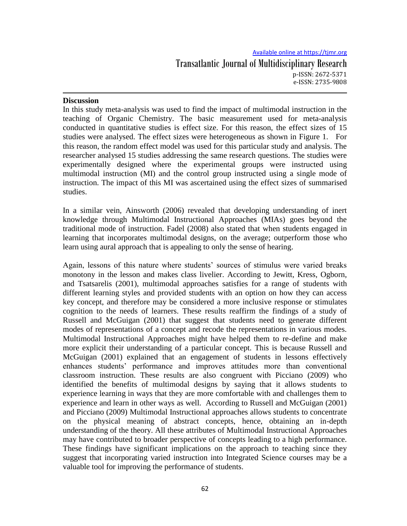## **Discussion**

In this study meta-analysis was used to find the impact of multimodal instruction in the teaching of Organic Chemistry. The basic measurement used for meta-analysis conducted in quantitative studies is effect size. For this reason, the effect sizes of 15 studies were analysed. The effect sizes were heterogeneous as shown in Figure 1. For this reason, the random effect model was used for this particular study and analysis. The researcher analysed 15 studies addressing the same research questions. The studies were experimentally designed where the experimental groups were instructed using multimodal instruction (MI) and the control group instructed using a single mode of instruction. The impact of this MI was ascertained using the effect sizes of summarised studies.

In a similar vein, Ainsworth (2006) revealed that developing understanding of inert knowledge through Multimodal Instructional Approaches (MIAs) goes beyond the traditional mode of instruction. Fadel (2008) also stated that when students engaged in learning that incorporates multimodal designs, on the average; outperform those who learn using aural approach that is appealing to only the sense of hearing.

Again, lessons of this nature where students' sources of stimulus were varied breaks monotony in the lesson and makes class livelier. According to Jewitt, Kress, Ogborn, and Tsatsarelis (2001), multimodal approaches satisfies for a range of students with different learning styles and provided students with an option on how they can access key concept, and therefore may be considered a more inclusive response or stimulates cognition to the needs of learners. These results reaffirm the findings of a study of Russell and McGuigan (2001) that suggest that students need to generate different modes of representations of a concept and recode the representations in various modes. Multimodal Instructional Approaches might have helped them to re-define and make more explicit their understanding of a particular concept. This is because Russell and McGuigan (2001) explained that an engagement of students in lessons effectively enhances students' performance and improves attitudes more than conventional classroom instruction. These results are also congruent with Picciano (2009) who identified the benefits of multimodal designs by saying that it allows students to experience learning in ways that they are more comfortable with and challenges them to experience and learn in other ways as well. According to Russell and McGuigan (2001) and Picciano (2009) Multimodal Instructional approaches allows students to concentrate on the physical meaning of abstract concepts, hence, obtaining an in-depth understanding of the theory. All these attributes of Multimodal Instructional Approaches may have contributed to broader perspective of concepts leading to a high performance. These findings have significant implications on the approach to teaching since they suggest that incorporating varied instruction into Integrated Science courses may be a valuable tool for improving the performance of students.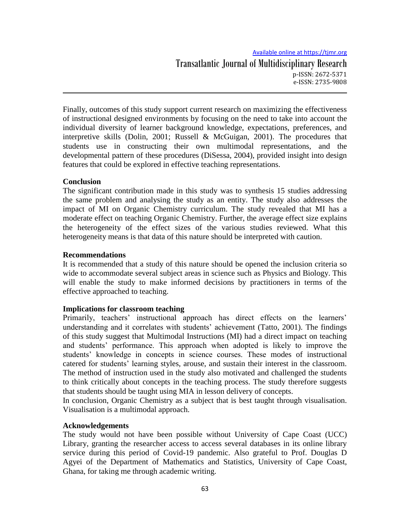Finally, outcomes of this study support current research on maximizing the effectiveness of instructional designed environments by focusing on the need to take into account the individual diversity of learner background knowledge, expectations, preferences, and interpretive skills (Dolin, 2001; Russell & McGuigan, 2001). The procedures that students use in constructing their own multimodal representations, and the developmental pattern of these procedures (DiSessa, 2004), provided insight into design features that could be explored in effective teaching representations.

## **Conclusion**

The significant contribution made in this study was to synthesis 15 studies addressing the same problem and analysing the study as an entity. The study also addresses the impact of MI on Organic Chemistry curriculum. The study revealed that MI has a moderate effect on teaching Organic Chemistry. Further, the average effect size explains the heterogeneity of the effect sizes of the various studies reviewed. What this heterogeneity means is that data of this nature should be interpreted with caution.

### **Recommendations**

It is recommended that a study of this nature should be opened the inclusion criteria so wide to accommodate several subject areas in science such as Physics and Biology. This will enable the study to make informed decisions by practitioners in terms of the effective approached to teaching.

### **Implications for classroom teaching**

Primarily, teachers' instructional approach has direct effects on the learners' understanding and it correlates with students' achievement (Tatto, 2001). The findings of this study suggest that Multimodal Instructions (MI) had a direct impact on teaching and students' performance. This approach when adopted is likely to improve the students' knowledge in concepts in science courses. These modes of instructional catered for students' learning styles, arouse, and sustain their interest in the classroom. The method of instruction used in the study also motivated and challenged the students to think critically about concepts in the teaching process. The study therefore suggests that students should be taught using MIA in lesson delivery of concepts.

In conclusion, Organic Chemistry as a subject that is best taught through visualisation. Visualisation is a multimodal approach.

### **Acknowledgements**

The study would not have been possible without University of Cape Coast (UCC) Library, granting the researcher access to access several databases in its online library service during this period of Covid-19 pandemic. Also grateful to Prof. Douglas D Agyei of the Department of Mathematics and Statistics, University of Cape Coast, Ghana, for taking me through academic writing.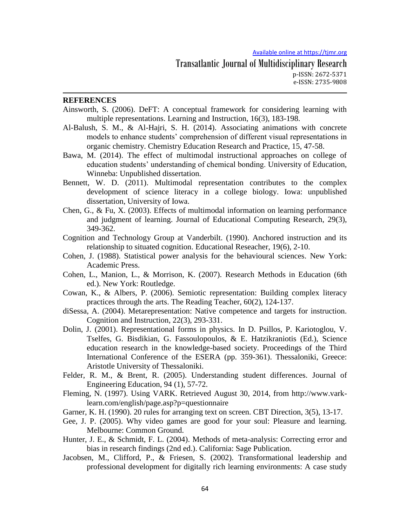#### **REFERENCES**

- Ainsworth, S. (2006). DeFT: A conceptual framework for considering learning with multiple representations. Learning and Instruction, 16(3), 183-198.
- Al-Balush, S. M., & Al-Hajri, S. H. (2014). Associating animations with concrete models to enhance students' comprehension of different visual representations in organic chemistry. Chemistry Education Research and Practice, 15, 47-58.
- Bawa, M. (2014). The effect of multimodal instructional approaches on college of education students' understanding of chemical bonding. University of Education, Winneba: Unpublished dissertation.
- Bennett, W. D. (2011). Multimodal representation contributes to the complex development of science literacy in a college biology. Iowa: unpublished dissertation, University of Iowa.
- Chen, G., & Fu, X. (2003). Effects of multimodal information on learning performance and judgment of learning. Journal of Educational Computing Research, 29(3), 349-362.
- Cognition and Technology Group at Vanderbilt. (1990). Anchored instruction and its relationship to situated cognition. Educational Reseacher, 19(6), 2-10.
- Cohen, J. (1988). Statistical power analysis for the behavioural sciences. New York: Academic Press.
- Cohen, L., Manion, L., & Morrison, K. (2007). Research Methods in Education (6th ed.). New York: Routledge.
- Cowan, K., & Albers, P. (2006). Semiotic representation: Building complex literacy practices through the arts. The Reading Teacher, 60(2), 124-137.
- diSessa, A. (2004). Metarepresentation: Native competence and targets for instruction. Cognition and Instruction, 22(3), 293-331.
- Dolin, J. (2001). Representational forms in physics. In D. Psillos, P. Kariotoglou, V. Tselfes, G. Bisdikian, G. Fassoulopoulos, & E. Hatzikraniotis (Ed.), Science education research in the knowledge-based society. Proceedings of the Third International Conference of the ESERA (pp. 359-361). Thessaloniki, Greece: Aristotle University of Thessaloniki.
- Felder, R. M., & Brent, R. (2005). Understanding student differences. Journal of Engineering Education, 94 (1), 57-72.
- Fleming, N. (1997). Using VARK. Retrieved August 30, 2014, from http://www.varklearn.com/english/page.asp?p=questionnaire
- Garner, K. H. (1990). 20 rules for arranging text on screen. CBT Direction, 3(5), 13-17.
- Gee, J. P. (2005). Why video games are good for your soul: Pleasure and learning. Melbourne: Common Ground.
- Hunter, J. E., & Schmidt, F. L. (2004). Methods of meta-analysis: Correcting error and bias in research findings (2nd ed.). California: Sage Publication.
- Jacobsen, M., Clifford, P., & Friesen, S. (2002). Transformational leadership and professional development for digitally rich learning environments: A case study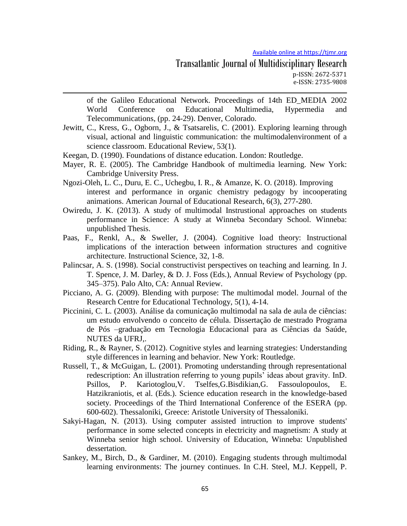of the Galileo Educational Network. Proceedings of 14th ED\_MEDIA 2002 World Conference on Educational Multimedia, Hypermedia and Telecommunications, (pp. 24-29). Denver, Colorado.

Jewitt, C., Kress, G., Ogborn, J., & Tsatsarelis, C. (2001). Exploring learning through visual, actional and linguistic communication: the multimodalenvironment of a science classroom. Educational Review, 53(1).

Keegan, D. (1990). Foundations of distance education. London: Routledge.

- Mayer, R. E. (2005). The Cambridge Handbook of multimedia learning. New York: Cambridge University Press.
- Ngozi-Oleh, L. C., Duru, E. C., Uchegbu, I. R., & Amanze, K. O. (2018). Improving interest and performance in organic chemistry pedagogy by incooperating animations. American Journal of Educational Research, 6(3), 277-280.
- Owiredu, J. K. (2013). A study of multimodal Instrustional approaches on students performance in Science: A study at Winneba Secondary School. Winneba: unpublished Thesis.
- Paas, F., Renkl, A., & Sweller, J. (2004). Cognitive load theory: Instructional implications of the interaction between information structures and cognitive architecture. Instructional Science, 32, 1-8.
- Palincsar, A. S. (1998). Social constructivist perspectives on teaching and learning. In J. T. Spence, J. M. Darley, & D. J. Foss (Eds.), Annual Review of Psychology (pp. 345–375). Palo Alto, CA: Annual Review.
- Picciano, A. G. (2009). Blending with purpose: The multimodal model. Journal of the Research Centre for Educational Technology, 5(1), 4-14.
- Piccinini, C. L. (2003). Análise da comunicação multimodal na sala de aula de ciências: um estudo envolvendo o conceito de célula. Dissertação de mestrado Programa de Pós –graduação em Tecnologia Educacional para as Ciências da Saúde, NUTES da UFRJ,.
- Riding, R., & Rayner, S. (2012). Cognitive styles and learning strategies: Understanding style differences in learning and behavior. New York: Routledge.
- Russell, T., & McGuigan, L. (2001). Promoting understanding through representational redescription: An illustration referring to young pupils' ideas about gravity. InD. Psillos, P. Kariotoglou,V. Tselfes,G.Bisdikian,G. Fassoulopoulos, E. Hatzikraniotis, et al. (Eds.). Science education research in the knowledge-based society. Proceedings of the Third International Conference of the ESERA (pp. 600-602). Thessaloniki, Greece: Aristotle University of Thessaloniki.
- Sakyi-Hagan, N. (2013). Using computer assisted intruction to improve students' performance in some selected concepts in electricity and magnetism: A study at Winneba senior high school. University of Education, Winneba: Unpublished dessertation.
- Sankey, M., Birch, D., & Gardiner, M. (2010). Engaging students through multimodal learning environments: The journey continues. In C.H. Steel, M.J. Keppell, P.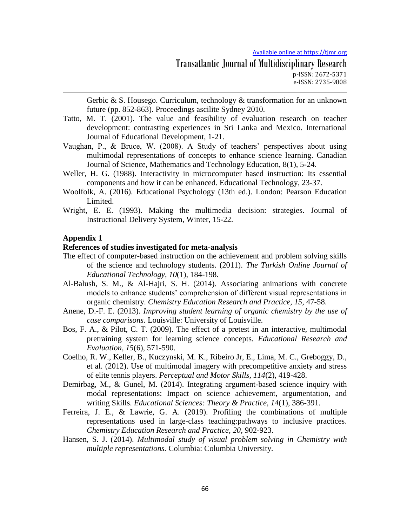Gerbic & S. Housego. Curriculum, technology & transformation for an unknown future (pp. 852-863). Proceedings ascilite Sydney 2010.

- Tatto, M. T. (2001). The value and feasibility of evaluation research on teacher development: contrasting experiences in Sri Lanka and Mexico. International Journal of Educational Development, 1-21.
- Vaughan, P., & Bruce, W. (2008). A Study of teachers' perspectives about using multimodal representations of concepts to enhance science learning. Canadian Journal of Science, Mathematics and Technology Education, 8(1), 5-24.
- Weller, H. G. (1988). Interactivity in microcomputer based instruction: Its essential components and how it can be enhanced. Educational Technology, 23-37.
- Woolfolk, A. (2016). Educational Psychology (13th ed.). London: Pearson Education Limited.
- Wright, E. E. (1993). Making the multimedia decision: strategies. Journal of Instructional Delivery System, Winter, 15-22.

#### **Appendix 1**

#### **References of studies investigated for meta-analysis**

- The effect of computer-based instruction on the achievement and problem solving skills of the science and technology students. (2011). *The Turkish Online Journal of Educational Technology, 10*(1), 184-198.
- Al-Balush, S. M., & Al-Hajri, S. H. (2014). Associating animations with concrete models to enhance students' comprehension of different visual representations in organic chemistry. *Chemistry Education Research and Practice, 15*, 47-58.
- Anene, D.-F. E. (2013). *Improving student learning of organic chemistry by the use of case comparisons.* Louisville: University of Louisville.
- Bos, F. A., & Pilot, C. T. (2009). The effect of a pretest in an interactive, multimodal pretraining system for learning science concepts. *Educational Research and Evaluation, 15*(6), 571-590.
- Coelho, R. W., Keller, B., Kuczynski, M. K., Ribeiro Jr, E., Lima, M. C., Greboggy, D., et al. (2012). Use of multimodal imagery with precompetitive anxiety and stress of elite tennis players. *Perceptual and Motor Skills, 114*(2), 419-428.
- Demirbag, M., & Gunel, M. (2014). Integrating argument-based science inquiry with modal representations: Impact on science achievement, argumentation, and writing Skills. *Educational Sciences: Theory & Practice, 14*(1), 386-391.
- Ferreira, J. E., & Lawrie, G. A. (2019). Profiling the combinations of multiple representations used in large-class teaching:pathways to inclusive practices. *Chemistry Education Research and Practice, 20*, 902-923.
- Hansen, S. J. (2014). *Multimodal study of visual problem solving in Chemistry with multiple representations.* Columbia: Columbia University.